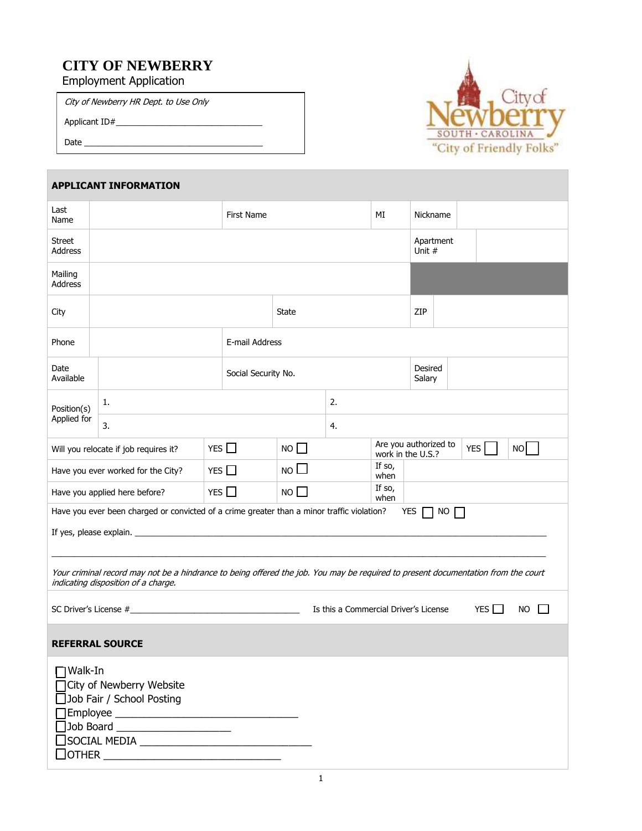# **CITY OF NEWBERRY**

Employment Application

City of Newberry HR Dept. to Use Only

Applicant ID#\_\_\_\_\_\_\_\_\_\_\_\_\_\_\_\_\_\_\_\_\_\_\_\_\_\_\_\_\_\_\_\_

Date  $\_\_$ 



| <b>APPLICANT INFORMATION</b>                                                                                                                                             |                                                                                                                                                                                                     |                |                 |                                                         |                   |                     |  |  |  |  |
|--------------------------------------------------------------------------------------------------------------------------------------------------------------------------|-----------------------------------------------------------------------------------------------------------------------------------------------------------------------------------------------------|----------------|-----------------|---------------------------------------------------------|-------------------|---------------------|--|--|--|--|
| Last<br>Name                                                                                                                                                             | <b>First Name</b>                                                                                                                                                                                   |                |                 |                                                         | ΜI                | Nickname            |  |  |  |  |
| Street<br>Address                                                                                                                                                        |                                                                                                                                                                                                     |                |                 |                                                         |                   | Apartment<br>Unit # |  |  |  |  |
| Mailing<br>Address                                                                                                                                                       |                                                                                                                                                                                                     |                |                 |                                                         |                   |                     |  |  |  |  |
| City                                                                                                                                                                     |                                                                                                                                                                                                     | State          |                 |                                                         | ZIP               |                     |  |  |  |  |
| Phone                                                                                                                                                                    |                                                                                                                                                                                                     | E-mail Address |                 |                                                         |                   |                     |  |  |  |  |
| Date<br>Available                                                                                                                                                        | Social Security No.                                                                                                                                                                                 |                |                 |                                                         | Desired<br>Salary |                     |  |  |  |  |
| Position(s)                                                                                                                                                              | 1.                                                                                                                                                                                                  |                |                 | 2.                                                      |                   |                     |  |  |  |  |
| Applied for                                                                                                                                                              | 3.                                                                                                                                                                                                  |                |                 | 4.                                                      |                   |                     |  |  |  |  |
|                                                                                                                                                                          | Will you relocate if job requires it?                                                                                                                                                               | YES $\Box$     | $NO$ $\Box$     | Are you authorized to<br>YES<br>NO<br>work in the U.S.? |                   |                     |  |  |  |  |
| Have you ever worked for the City?                                                                                                                                       |                                                                                                                                                                                                     | YES $\Box$     | NO <sub>l</sub> |                                                         | If so,<br>when    |                     |  |  |  |  |
|                                                                                                                                                                          | Have you applied here before?                                                                                                                                                                       | YES $\Box$     | $NO$ $\Box$     |                                                         | If so,<br>when    |                     |  |  |  |  |
| Have you ever been charged or convicted of a crime greater than a minor traffic violation?<br>YES  <br>NO <sub>l</sub>                                                   |                                                                                                                                                                                                     |                |                 |                                                         |                   |                     |  |  |  |  |
| Your criminal record may not be a hindrance to being offered the job. You may be required to present documentation from the court<br>indicating disposition of a charge. |                                                                                                                                                                                                     |                |                 |                                                         |                   |                     |  |  |  |  |
| Is this a Commercial Driver's License<br>YES $\Box$<br>NO.                                                                                                               |                                                                                                                                                                                                     |                |                 |                                                         |                   |                     |  |  |  |  |
|                                                                                                                                                                          | <b>REFERRAL SOURCE</b>                                                                                                                                                                              |                |                 |                                                         |                   |                     |  |  |  |  |
| $\Box$ Walk-In<br>]OTHER $\overline{\phantom{a}}$                                                                                                                        | □ City of Newberry Website<br>Job Fair / School Posting<br>]Employee _________________________________<br>Job Board ______________________<br>□<br>□SOCIAL MEDIA __________________________________ |                |                 |                                                         |                   |                     |  |  |  |  |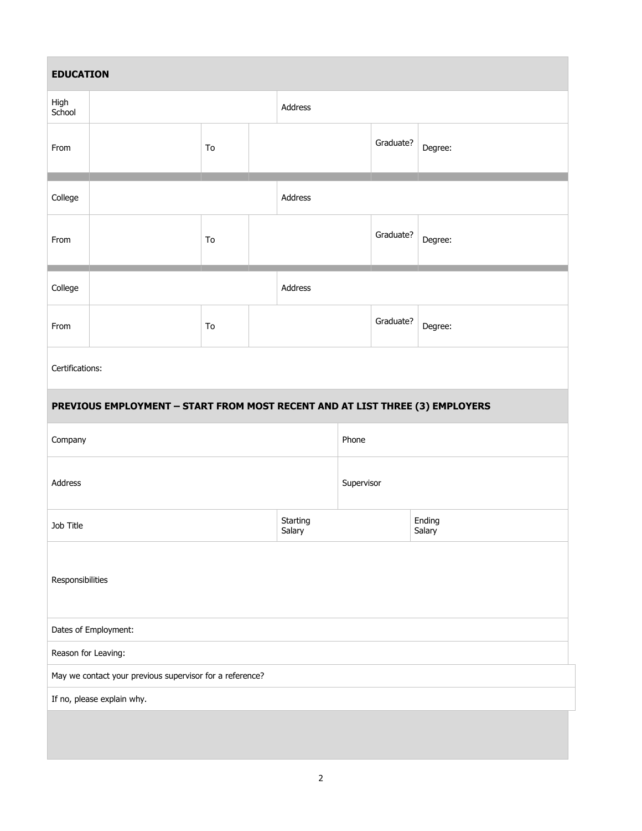| <b>EDUCATION</b>                                         |                                                                              |    |         |                    |       |           |                  |  |
|----------------------------------------------------------|------------------------------------------------------------------------------|----|---------|--------------------|-------|-----------|------------------|--|
| High<br>School                                           |                                                                              |    |         | Address            |       |           |                  |  |
| From                                                     |                                                                              | To |         |                    |       | Graduate? | Degree:          |  |
| College                                                  |                                                                              |    | Address |                    |       |           |                  |  |
| From                                                     |                                                                              | To |         |                    |       | Graduate? | Degree:          |  |
| College                                                  |                                                                              |    |         | Address            |       |           |                  |  |
| From                                                     |                                                                              | To |         |                    |       | Graduate? | Degree:          |  |
| Certifications:                                          |                                                                              |    |         |                    |       |           |                  |  |
|                                                          | PREVIOUS EMPLOYMENT - START FROM MOST RECENT AND AT LIST THREE (3) EMPLOYERS |    |         |                    |       |           |                  |  |
| Company                                                  |                                                                              |    |         |                    | Phone |           |                  |  |
| Address                                                  |                                                                              |    |         | Supervisor         |       |           |                  |  |
| Job Title                                                |                                                                              |    |         | Starting<br>Salary |       |           | Ending<br>Salary |  |
| Responsibilities                                         |                                                                              |    |         |                    |       |           |                  |  |
| Dates of Employment:                                     |                                                                              |    |         |                    |       |           |                  |  |
| Reason for Leaving:                                      |                                                                              |    |         |                    |       |           |                  |  |
| May we contact your previous supervisor for a reference? |                                                                              |    |         |                    |       |           |                  |  |
| If no, please explain why.                               |                                                                              |    |         |                    |       |           |                  |  |
|                                                          |                                                                              |    |         |                    |       |           |                  |  |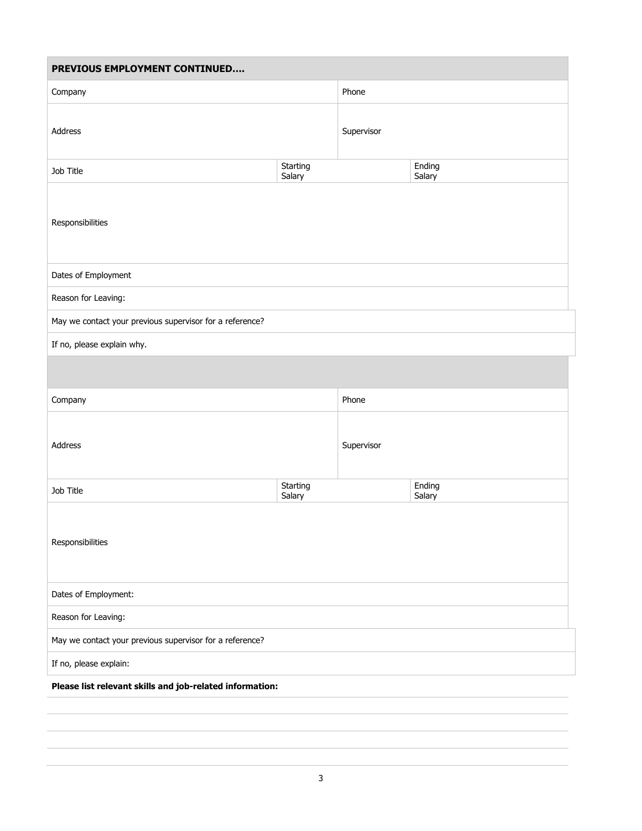| PREVIOUS EMPLOYMENT CONTINUED                            |                    |            |                  |  |  |  |  |
|----------------------------------------------------------|--------------------|------------|------------------|--|--|--|--|
| Company                                                  |                    | Phone      |                  |  |  |  |  |
| Address                                                  |                    | Supervisor |                  |  |  |  |  |
| Job Title                                                | Starting<br>Salary |            | Ending<br>Salary |  |  |  |  |
| Responsibilities                                         |                    |            |                  |  |  |  |  |
| Dates of Employment                                      |                    |            |                  |  |  |  |  |
| Reason for Leaving:                                      |                    |            |                  |  |  |  |  |
| May we contact your previous supervisor for a reference? |                    |            |                  |  |  |  |  |
| If no, please explain why.                               |                    |            |                  |  |  |  |  |
|                                                          |                    |            |                  |  |  |  |  |
| Company                                                  |                    | Phone      |                  |  |  |  |  |
| Address                                                  |                    | Supervisor |                  |  |  |  |  |
| Job Title                                                | Starting<br>Salary |            | Ending<br>Salary |  |  |  |  |
| Responsibilities                                         |                    |            |                  |  |  |  |  |
| Dates of Employment:                                     |                    |            |                  |  |  |  |  |
| Reason for Leaving:                                      |                    |            |                  |  |  |  |  |
| May we contact your previous supervisor for a reference? |                    |            |                  |  |  |  |  |
| If no, please explain:                                   |                    |            |                  |  |  |  |  |
| Please list relevant skills and job-related information: |                    |            |                  |  |  |  |  |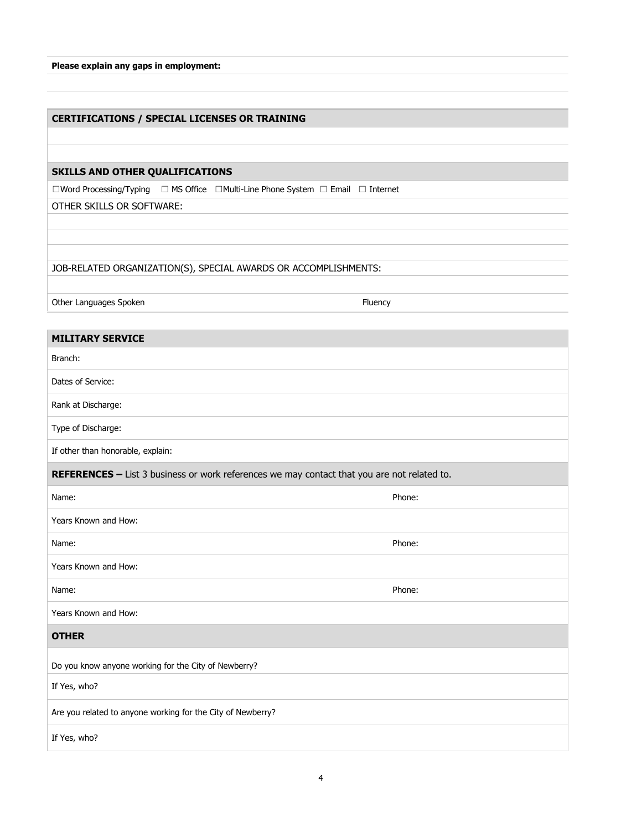| Please explain any gaps in employment: |  |  |  |
|----------------------------------------|--|--|--|
|                                        |  |  |  |

#### **CERTIFICATIONS / SPECIAL LICENSES OR TRAINING**

#### **SKILLS AND OTHER QUALIFICATIONS**

☐Word Processing/Typing ☐ MS Office ☐Multi-Line Phone System ☐ Email ☐ Internet

OTHER SKILLS OR SOFTWARE:

JOB-RELATED ORGANIZATION(S), SPECIAL AWARDS OR ACCOMPLISHMENTS:

Other Languages Spoken Fluency and the United States of the Fluency Fluency

#### **MILITARY SERVICE**

Branch:

Dates of Service:

Rank at Discharge:

Type of Discharge:

If other than honorable, explain:

**REFERENCES –** List 3 business or work references we may contact that you are not related to.

| Name:                                                       | Phone: |
|-------------------------------------------------------------|--------|
| Years Known and How:                                        |        |
| Name:                                                       | Phone: |
| Years Known and How:                                        |        |
| Name:                                                       | Phone: |
| Years Known and How:                                        |        |
| <b>OTHER</b>                                                |        |
| Do you know anyone working for the City of Newberry?        |        |
| If Yes, who?                                                |        |
| Are you related to anyone working for the City of Newberry? |        |
| If Yes, who?                                                |        |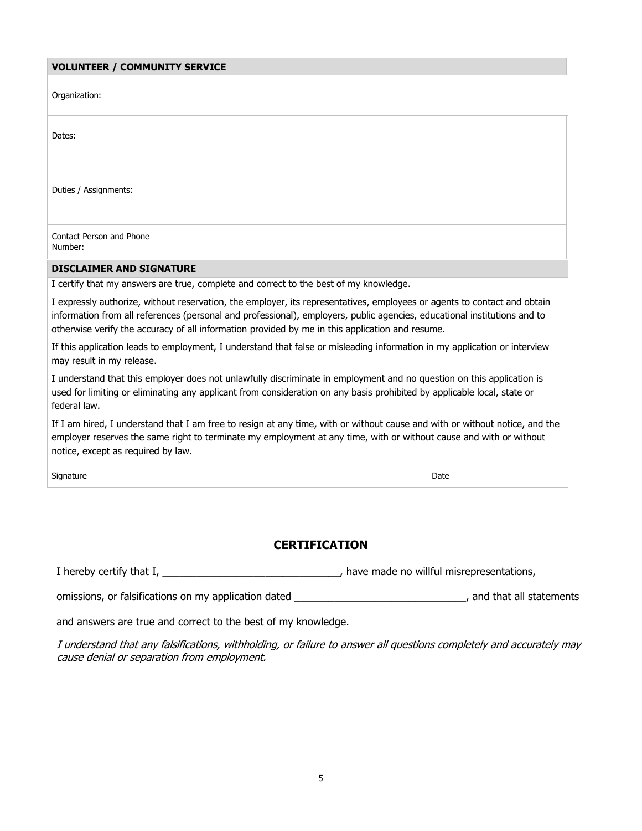#### **VOLUNTEER / COMMUNITY SERVICE**

| Organization:                                                                                                                                                                                                                                                                                                                                           |
|---------------------------------------------------------------------------------------------------------------------------------------------------------------------------------------------------------------------------------------------------------------------------------------------------------------------------------------------------------|
| Dates:                                                                                                                                                                                                                                                                                                                                                  |
| Duties / Assignments:                                                                                                                                                                                                                                                                                                                                   |
| Contact Person and Phone<br>Number:                                                                                                                                                                                                                                                                                                                     |
| <b>DISCLAIMER AND SIGNATURE</b>                                                                                                                                                                                                                                                                                                                         |
| I certify that my answers are true, complete and correct to the best of my knowledge.                                                                                                                                                                                                                                                                   |
| I expressly authorize, without reservation, the employer, its representatives, employees or agents to contact and obtain<br>information from all references (personal and professional), employers, public agencies, educational institutions and to<br>otherwise verify the accuracy of all information provided by me in this application and resume. |
| If this application leads to employment, I understand that false or misleading information in my application or interview<br>may result in my release.                                                                                                                                                                                                  |
| I understand that this employer does not unlawfully discriminate in employment and no question on this application is<br>used for limiting or eliminating any applicant from consideration on any basis prohibited by applicable local, state or<br>federal law.                                                                                        |
| If I am hired, I understand that I am free to resign at any time, with or without cause and with or without notice, and the<br>employer reserves the same right to terminate my employment at any time, with or without cause and with or without<br>notice, except as required by law.                                                                 |
| Signature<br>Date                                                                                                                                                                                                                                                                                                                                       |
|                                                                                                                                                                                                                                                                                                                                                         |

## **CERTIFICATION**

I hereby certify that I, \_\_\_\_\_\_\_\_\_\_\_\_\_\_\_\_\_\_\_\_\_\_\_\_\_\_\_\_\_\_\_, have made no willful misrepresentations,

omissions, or falsifications on my application dated \_\_\_\_\_\_\_\_\_\_\_\_\_\_\_\_\_\_\_\_\_\_\_\_\_\_\_\_\_\_\_\_\_\_, and that all statements

and answers are true and correct to the best of my knowledge.

I understand that any falsifications, withholding, or failure to answer all questions completely and accurately may cause denial or separation from employment.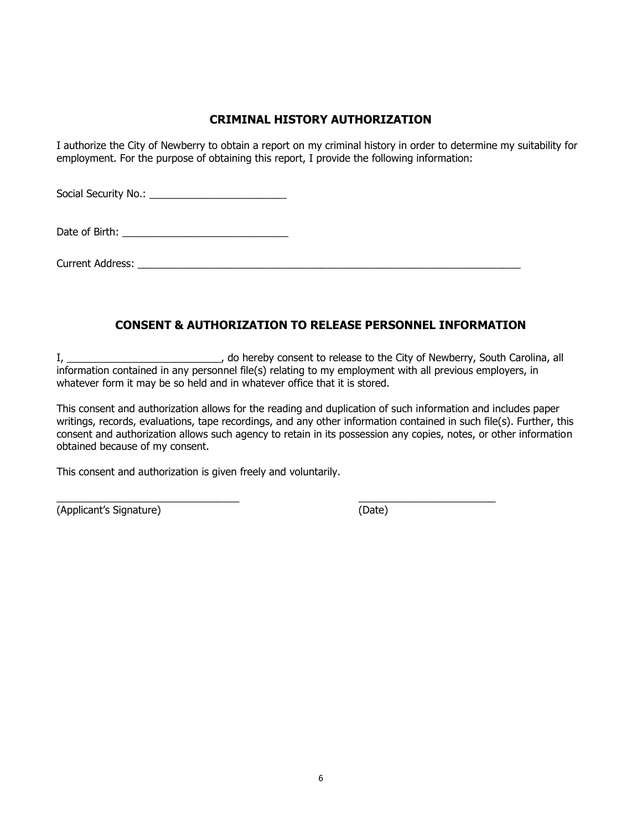### **CRIMINAL HISTORY AUTHORIZATION**

I authorize the City of Newberry to obtain a report on my criminal history in order to determine my suitability for employment. For the purpose of obtaining this report, I provide the following information:

Social Security No.: \_\_\_\_\_\_\_\_\_\_\_\_\_\_\_\_\_\_\_\_\_\_\_\_

Date of Birth: \_\_\_\_\_\_\_\_\_\_\_\_\_\_\_\_\_\_\_\_\_\_\_\_\_\_\_\_\_

Current Address: \_\_\_\_\_\_\_\_\_\_\_\_\_\_\_\_\_\_\_\_\_\_\_\_\_\_\_\_\_\_\_\_\_\_\_\_\_\_\_\_\_\_\_\_\_\_\_\_\_\_\_\_\_\_\_\_\_\_\_\_\_\_\_\_\_\_\_

\_\_\_\_\_\_\_\_\_\_\_\_\_\_\_\_\_\_\_\_\_\_\_\_\_\_\_\_\_\_\_\_ \_\_\_\_\_\_\_\_\_\_\_\_\_\_\_\_\_\_\_\_\_\_\_\_

## **CONSENT & AUTHORIZATION TO RELEASE PERSONNEL INFORMATION**

I, \_\_\_\_\_\_\_\_\_\_\_\_\_\_\_\_\_\_\_\_\_\_\_\_\_\_\_, do hereby consent to release to the City of Newberry, South Carolina, all information contained in any personnel file(s) relating to my employment with all previous employers, in whatever form it may be so held and in whatever office that it is stored.

This consent and authorization allows for the reading and duplication of such information and includes paper writings, records, evaluations, tape recordings, and any other information contained in such file(s). Further, this consent and authorization allows such agency to retain in its possession any copies, notes, or other information obtained because of my consent.

This consent and authorization is given freely and voluntarily.

(Applicant's Signature) (Date)